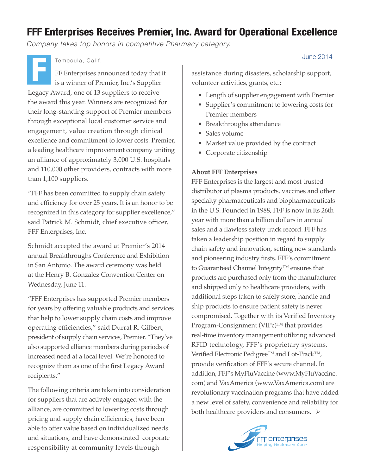# FFF Enterprises Receives Premier, Inc. Award for Operational Excellence

*Company takes top honors in competitive Pharmacy category.*

FF Enterprises announced today that it is a winner of Premier, Inc.'s Supplier Legacy Award, one of 13 suppliers to receive the award this year. Winners are recognized for their long-standing support of Premier members through exceptional local customer service and engagement, value creation through clinical excellence and commitment to lower costs. Premier, a leading healthcare improvement company uniting an alliance of approximately 3,000 U.S. hospitals and 110,000 other providers, contracts with more than 1,100 suppliers. Temecula, Calif.<br>
FF Enterprises announced today that it<br>
is a winner of Premier, Inc.'s Supplier<br>
FREENTHE SUPPLIER

"FFF has been committed to supply chain safety and efficiency for over 25 years. It is an honor to be recognized in this category for supplier excellence," said Patrick M. Schmidt, chief executive officer, FFF Enterprises, Inc.

Schmidt accepted the award at Premier's 2014 annual Breakthroughs Conference and Exhibition in San Antonio. The award ceremony was held at the Henry B. Gonzalez Convention Center on Wednesday, June 11.

"FFF Enterprises has supported Premier members for years by offering valuable products and services that help to lower supply chain costs and improve operating efficiencies," said Durral R. Gilbert, president of supply chain services, Premier. "They've also supported alliance members during periods of increased need at a local level. We're honored to recognize them as one of the first Legacy Award recipients."

The following criteria are taken into consideration for suppliers that are actively engaged with the alliance, are committed to lowering costs through pricing and supply chain efficiencies, have been able to offer value based on individualized needs and situations, and have demonstrated corporate responsibility at community levels through

assistance during disasters, scholarship support, volunteer activities, grants, etc.:

- Length of supplier engagement with Premier
- Supplier's commitment to lowering costs for Premier members
- Breakthroughs attendance
- Sales volume
- Market value provided by the contract
- Corporate citizenship

## **About FFF Enterprises**

FFF Enterprises is the largest and most trusted distributor of plasma products, vaccines and other specialty pharmaceuticals and biopharmaceuticals in the U.S. Founded in 1988, FFF is now in its 26th year with more than a billion dollars in annual sales and a flawless safety track record. FFF has taken a leadership position in regard to supply chain safety and innovation, setting new standards and pioneering industry firsts. FFF's commitment to Guaranteed Channel Integrity™ ensures that products are purchased only from the manufacturer and shipped only to healthcare providers, with additional steps taken to safely store, handle and ship products to ensure patient safety is never compromised. Together with its Verified Inventory Program-Consignment (VIPc)™ that provides real-time inventory management utilizing advanced RFID technology, FFF's proprietary systems, Verified Electronic Pedigree™ and Lot-Track™, provide verification of FFF's secure channel. In addition, FFF's MyFluVaccine (www.MyFluVaccine. com) and VaxAmerica (www.VaxAmerica.com) are revolutionary vaccination programs that have added a new level of safety, convenience and reliability for both healthcare providers and consumers.  $\triangleright$